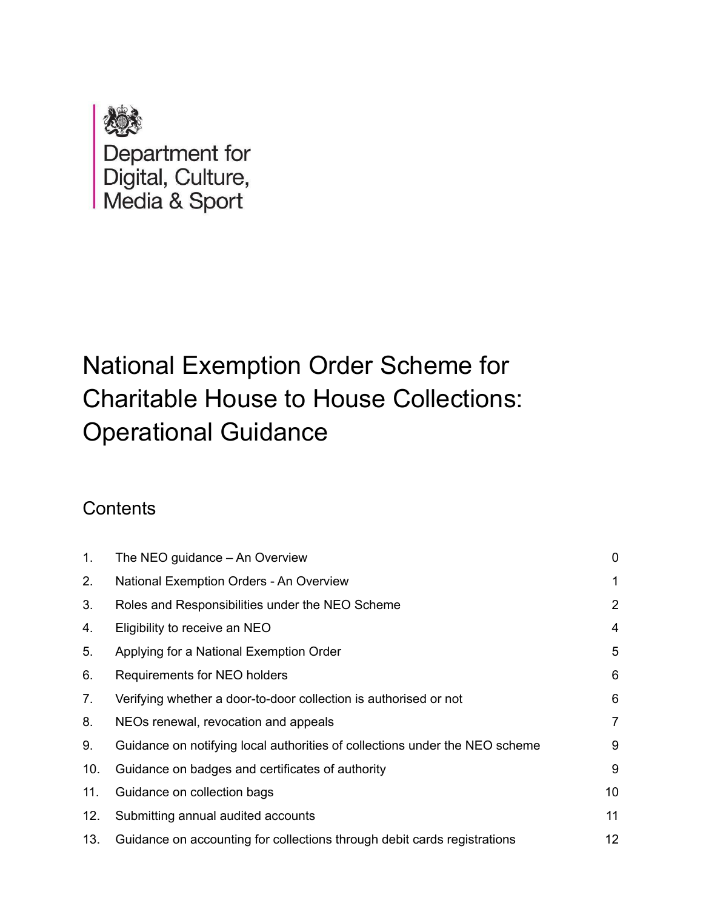

# National Exemption Order Scheme for Charitable House to House Collections: Operational Guidance

# **Contents**

| $\mathbf{1}$ . | The NEO guidance – An Overview                                              | $\mathbf 0$    |
|----------------|-----------------------------------------------------------------------------|----------------|
| 2.             | National Exemption Orders - An Overview                                     | 1              |
| 3.             | Roles and Responsibilities under the NEO Scheme                             | 2              |
| 4.             | Eligibility to receive an NEO                                               | 4              |
| 5.             | Applying for a National Exemption Order                                     | 5              |
| 6.             | Requirements for NEO holders                                                | 6              |
| 7.             | Verifying whether a door-to-door collection is authorised or not            | 6              |
| 8.             | NEOs renewal, revocation and appeals                                        | $\overline{7}$ |
| 9.             | Guidance on notifying local authorities of collections under the NEO scheme | 9              |
| 10.            | Guidance on badges and certificates of authority                            | 9              |
| 11.            | Guidance on collection bags                                                 | 10             |
| 12.            | Submitting annual audited accounts                                          | 11             |
| 13.            | Guidance on accounting for collections through debit cards registrations    | 12             |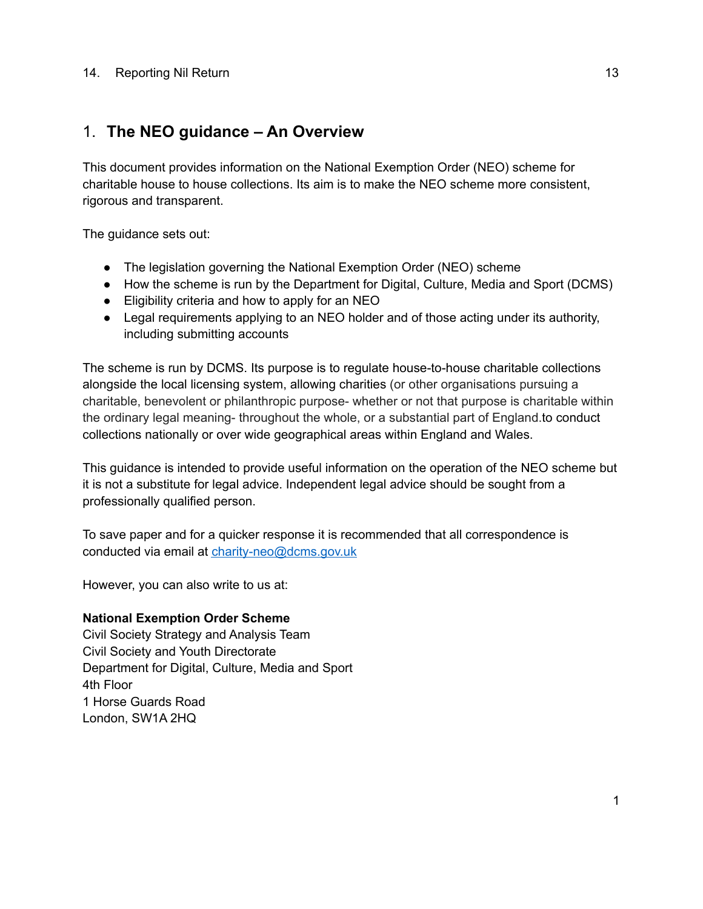#### 14. [Reporting](#page-14-0) Nil Return 13

#### <span id="page-1-0"></span>1. **The NEO guidance – An Overview**

This document provides information on the National Exemption Order (NEO) scheme for charitable house to house collections. Its aim is to make the NEO scheme more consistent, rigorous and transparent.

The guidance sets out:

- The legislation governing the National Exemption Order (NEO) scheme
- How the scheme is run by the Department for Digital, Culture, Media and Sport (DCMS)
- Eligibility criteria and how to apply for an NEO
- Legal requirements applying to an NEO holder and of those acting under its authority, including submitting accounts

The scheme is run by DCMS. Its purpose is to regulate house-to-house charitable collections alongside the local licensing system, allowing charities (or other organisations pursuing a charitable, benevolent or philanthropic purpose- whether or not that purpose is charitable within the ordinary legal meaning- throughout the whole, or a substantial part of England.to conduct collections nationally or over wide geographical areas within England and Wales.

This guidance is intended to provide useful information on the operation of the NEO scheme but it is not a substitute for legal advice. Independent legal advice should be sought from a professionally qualified person.

To save paper and for a quicker response it is recommended that all correspondence is conducted via email at [charity-neo@dcms.gov.uk](mailto:charity-neo@dcms.gov.uk)

However, you can also write to us at:

#### **National Exemption Order Scheme**

Civil Society Strategy and Analysis Team Civil Society and Youth Directorate Department for Digital, Culture, Media and Sport 4th Floor 1 Horse Guards Road London, SW1A 2HQ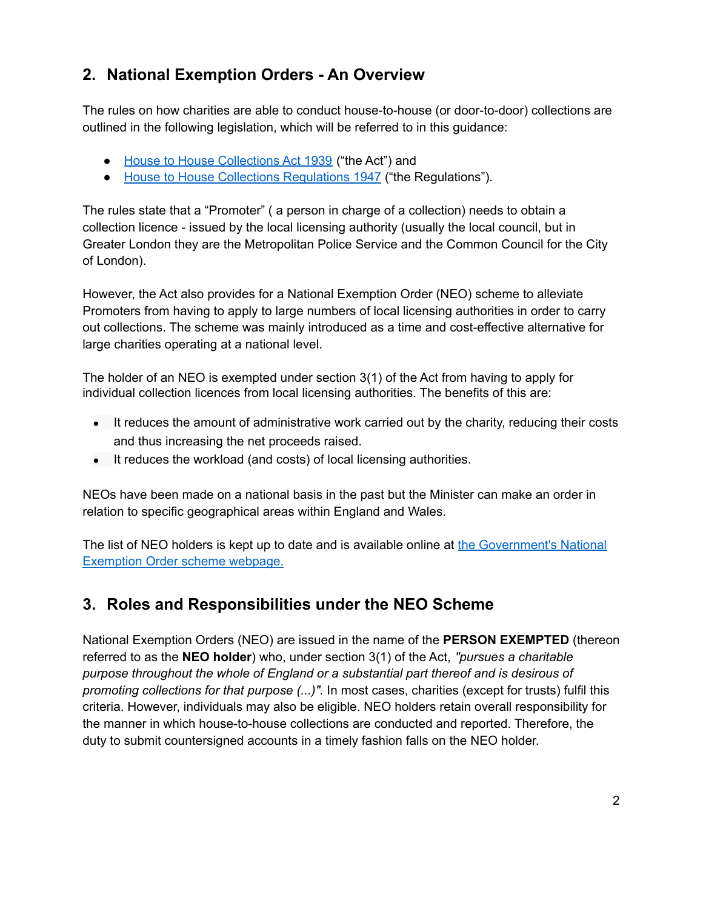## <span id="page-2-0"></span>**2. National Exemption Orders - An Overview**

The rules on how charities are able to conduct house-to-house (or door-to-door) collections are outlined in the following legislation, which will be referred to in this guidance:

- House to House [Collections](https://www.legislation.gov.uk/ukpga/Geo6/2-3/44) Act 1939 ("the Act") and
- House to House Collections [Regulations](https://www.legislation.gov.uk/uksro/1947/2662/pdfs/uksro_19472662_en.pdf) 1947 ("the Regulations").

The rules state that a "Promoter" ( a person in charge of a collection) needs to obtain a collection licence - issued by the local licensing authority (usually the local council, but in Greater London they are the [Metropolitan](https://www.met.police.uk/advice/advice-and-information/cc/charity-collection-licensing/house-to-house-collection-licences/) Police Service and the Common Council for the [City](https://www.cityoflondon.gov.uk/services/licensing/charity-collections/house-to-house-collections) of [London\)](https://www.cityoflondon.gov.uk/services/licensing/charity-collections/house-to-house-collections).

However, the Act also provides for a National Exemption Order (NEO) scheme to alleviate Promoters from having to apply to large numbers of local licensing authorities in order to carry out collections. The scheme was mainly introduced as a time and cost-effective alternative for large charities operating at a national level.

The holder of an NEO is exempted under section 3(1) of the Act from having to apply for individual collection licences from local licensing authorities. The benefits of this are:

- It reduces the amount of administrative work carried out by the charity, reducing their costs and thus increasing the net proceeds raised.
- It reduces the workload (and costs) of local licensing authorities.

NEOs have been made on a national basis in the past but the Minister can make an order in relation to specific geographical areas within England and Wales.

The list of NEO holders is kept up to date and is available online at the [Government's](https://www.gov.uk/government/publications/national-exemption-order-scheme) National [Exemption](https://www.gov.uk/government/publications/national-exemption-order-scheme) Order scheme webpage.

## <span id="page-2-1"></span>**3. Roles and Responsibilities under the NEO Scheme**

National Exemption Orders (NEO) are issued in the name of the **PERSON EXEMPTED** (thereon referred to as the **NEO holder**) who, under section 3(1) of the Act, *"pursues a charitable purpose throughout the whole of England or a substantial part thereof and is desirous of promoting collections for that purpose (...)".* In most cases, charities (except for trusts) fulfil this criteria. However, individuals may also be eligible. NEO holders retain overall responsibility for the manner in which house-to-house collections are conducted and reported. Therefore, the duty to submit countersigned accounts in a timely fashion falls on the NEO holder.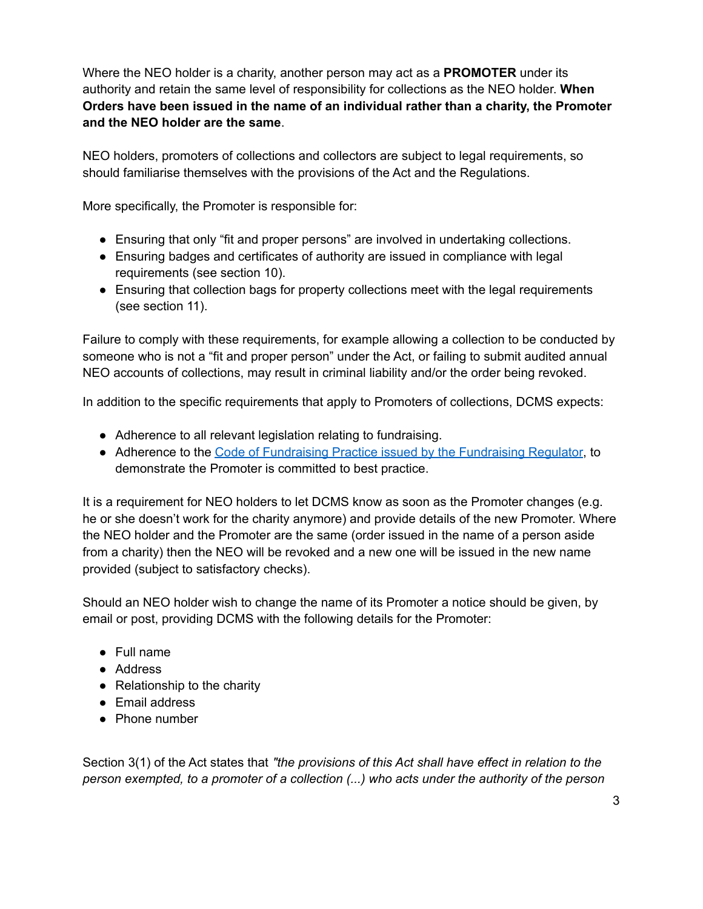Where the NEO holder is a charity, another person may act as a **PROMOTER** under its authority and retain the same level of responsibility for collections as the NEO holder. **When Orders have been issued in the name of an individual rather than a charity, the Promoter and the NEO holder are the same**.

NEO holders, promoters of collections and collectors are subject to legal requirements, so should familiarise themselves with the provisions of the Act and the Regulations.

More specifically, the Promoter is responsible for:

- Ensuring that only "fit and proper persons" are involved in undertaking collections.
- Ensuring badges and certificates of authority are issued in compliance with legal requirements (see section 10).
- Ensuring that collection bags for property collections meet with the legal requirements (see section 11).

Failure to comply with these requirements, for example allowing a collection to be conducted by someone who is not a "fit and proper person" under the Act, or failing to submit audited annual NEO accounts of collections, may result in criminal liability and/or the order being revoked.

In addition to the specific requirements that apply to Promoters of collections, DCMS expects:

- Adherence to all relevant legislation relating to fundraising.
- Adherence to the Code of [Fundraising](https://www.fundraisingregulator.org.uk/code) Practice issued by the Fundraising Regulator, to demonstrate the Promoter is committed to best practice.

It is a requirement for NEO holders to let DCMS know as soon as the Promoter changes (e.g. he or she doesn't work for the charity anymore) and provide details of the new Promoter. Where the NEO holder and the Promoter are the same (order issued in the name of a person aside from a charity) then the NEO will be revoked and a new one will be issued in the new name provided (subject to satisfactory checks).

Should an NEO holder wish to change the name of its Promoter a notice should be given, by email or post, providing DCMS with the following details for the Promoter:

- Full name
- Address
- Relationship to the charity
- Email address
- Phone number

Section 3(1) of the Act states that *"the provisions of this Act shall have effect in relation to the person exempted, to a promoter of a collection (...) who acts under the authority of the person*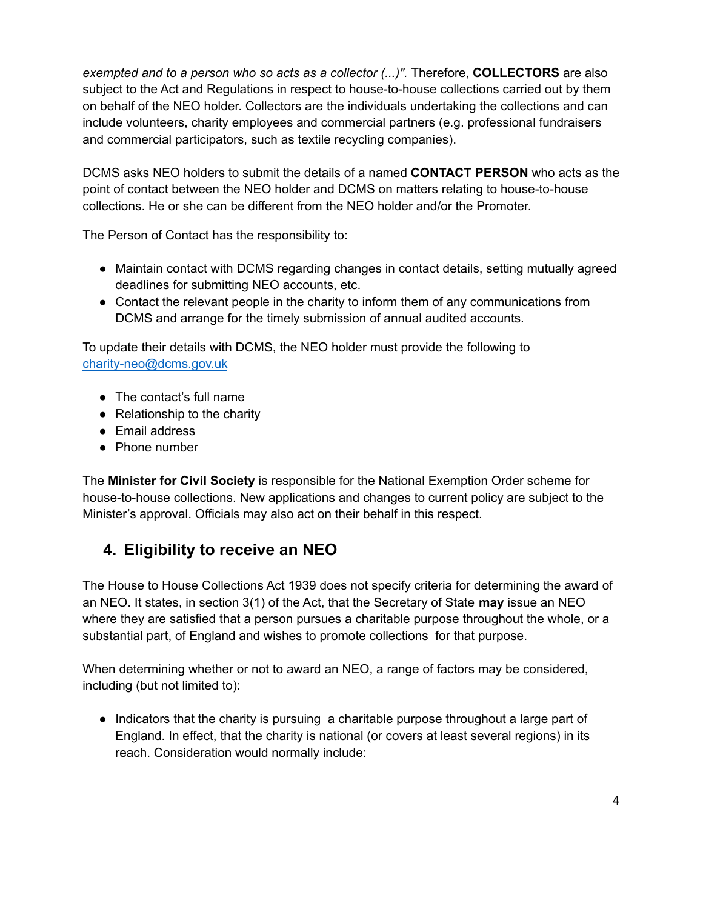*exempted and to a person who so acts as a collector (...)".* Therefore, **COLLECTORS** are also subject to the Act and Regulations in respect to house-to-house collections carried out by them on behalf of the NEO holder. Collectors are the individuals undertaking the collections and can include volunteers, charity employees and commercial partners (e.g. professional fundraisers and commercial participators, such as textile recycling companies).

DCMS asks NEO holders to submit the details of a named **CONTACT PERSON** who acts as the point of contact between the NEO holder and DCMS on matters relating to house-to-house collections. He or she can be different from the NEO holder and/or the Promoter.

The Person of Contact has the responsibility to:

- Maintain contact with DCMS regarding changes in contact details, setting mutually agreed deadlines for submitting NEO accounts, etc.
- Contact the relevant people in the charity to inform them of any communications from DCMS and arrange for the timely submission of annual audited accounts.

To update their details with DCMS, the NEO holder must provide the following to [charity-neo@dcms.gov.uk](mailto:charity-neo@dcms.gov.uk)

- The contact's full name
- Relationship to the charity
- Email address
- Phone number

The **Minister for Civil Society** is responsible for the National Exemption Order scheme for house-to-house collections. New applications and changes to current policy are subject to the Minister's approval. Officials may also act on their behalf in this respect.

## <span id="page-4-0"></span>**4. Eligibility to receive an NEO**

The House to House Collections Act 1939 does not specify criteria for determining the award of an NEO. It states, in section 3(1) of the Act, that the Secretary of State **may** issue an NEO where they are satisfied that a person pursues a charitable purpose throughout the whole, or a substantial part, of England and wishes to promote collections for that purpose.

When determining whether or not to award an NEO, a range of factors may be considered, including (but not limited to):

● Indicators that the charity is pursuing a charitable purpose throughout a large part of England. In effect, that the charity is national (or covers at least several regions) in its reach. Consideration would normally include: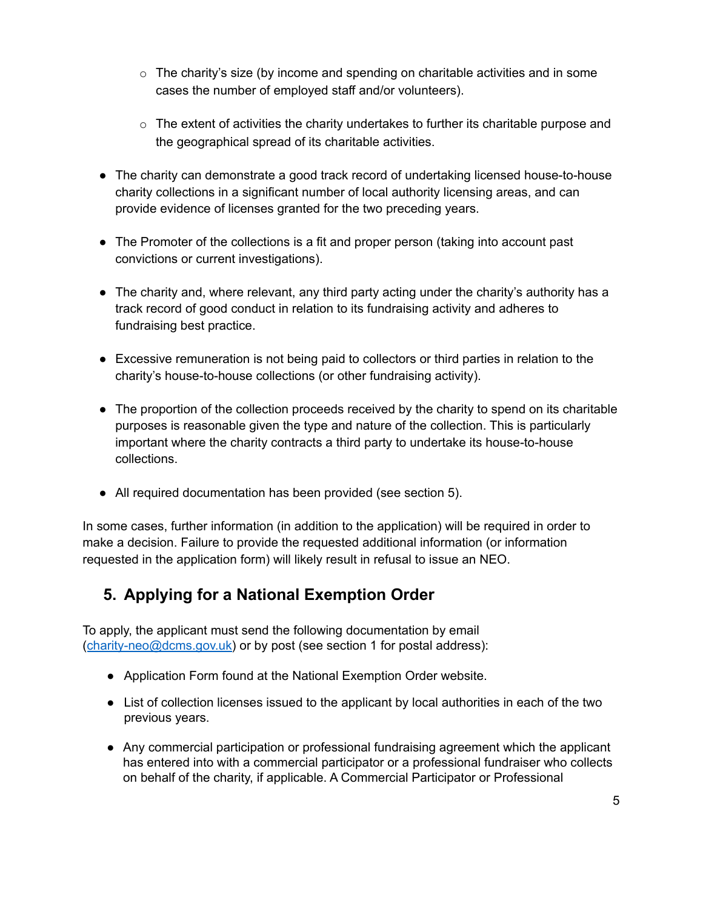- $\circ$  The charity's size (by income and spending on charitable activities and in some cases the number of employed staff and/or volunteers).
- $\circ$  The extent of activities the charity undertakes to further its charitable purpose and the geographical spread of its charitable activities.
- The charity can demonstrate a good track record of undertaking licensed house-to-house charity collections in a significant number of local authority licensing areas, and can provide evidence of licenses granted for the two preceding years.
- The Promoter of the collections is a fit and proper person (taking into account past convictions or current investigations).
- The charity and, where relevant, any third party acting under the charity's authority has a track record of good conduct in relation to its fundraising activity and adheres to fundraising best practice.
- Excessive remuneration is not being paid to collectors or third parties in relation to the charity's house-to-house collections (or other fundraising activity).
- The proportion of the collection proceeds received by the charity to spend on its charitable purposes is reasonable given the type and nature of the collection. This is particularly important where the charity contracts a third party to undertake its house-to-house collections.
- All required documentation has been provided (see section 5).

In some cases, further information (in addition to the application) will be required in order to make a decision. Failure to provide the requested additional information (or information requested in the application form) will likely result in refusal to issue an NEO.

## <span id="page-5-0"></span>**5. Applying for a National Exemption Order**

To apply, the applicant must send the following documentation by email ([charity-neo@dcms.gov.uk](mailto:charity-neo@dcms.gov.uk)) or by post (see section 1 for postal address):

- Application Form found at the National [Exemption](https://www.gov.uk/government/publications/national-exemption-order-scheme) Order website.
- List of collection licenses issued to the applicant by local authorities in each of the two previous years.
- Any commercial participation or professional fundraising agreement which the applicant has entered into with a commercial participator or a professional fundraiser who collects on behalf of the charity, if applicable. A Commercial Participator or Professional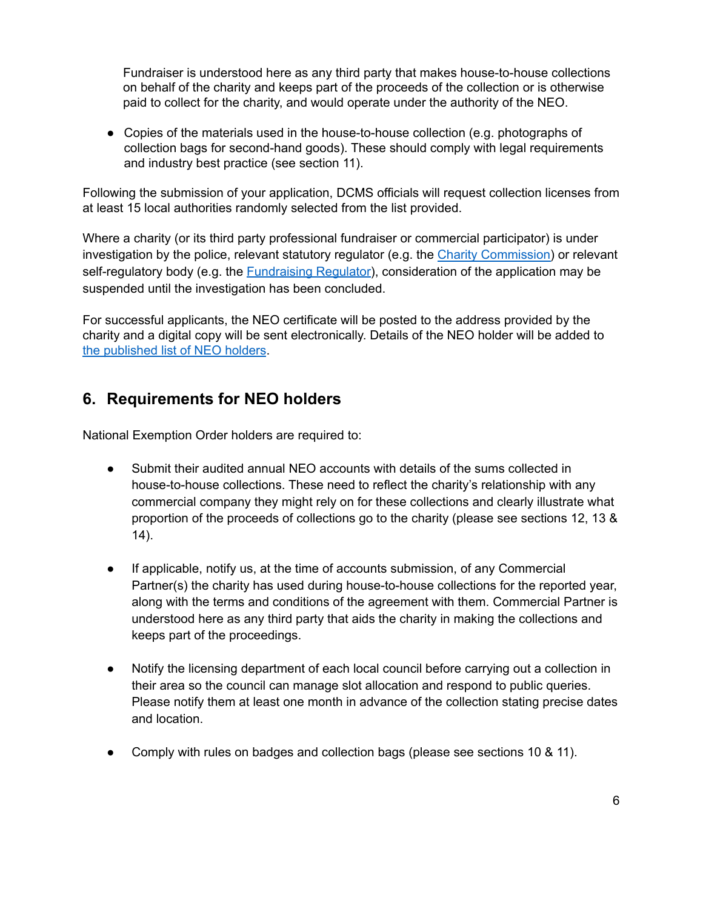Fundraiser is understood here as any third party that makes house-to-house collections on behalf of the charity and keeps part of the proceeds of the collection or is otherwise paid to collect for the charity, and would operate under the authority of the NEO.

● Copies of the materials used in the house-to-house collection (e.g. photographs of collection bags for second-hand goods). These should comply with legal requirements and industry best practice (see section 11).

Following the submission of your application, DCMS officials will request collection licenses from at least 15 local authorities randomly selected from the list provided.

Where a charity (or its third party professional fundraiser or commercial participator) is under investigation by the police, relevant statutory regulator (e.g. the Charity [Commission\)](https://www.gov.uk/government/organisations/charity-commission/about) or relevant self-regulatory body (e.g. the **[Fundraising](https://www.fundraisingregulator.org.uk) Regulator)**, consideration of the application may be suspended until the investigation has been concluded.

For successful applicants, the NEO certificate will be posted to the address provided by the charity and a digital copy will be sent electronically. Details of the NEO holder will be added to the [published](https://www.gov.uk/government/publications/national-exemption-order-scheme) list of NEO holders.

#### <span id="page-6-0"></span>**6. Requirements for NEO holders**

National Exemption Order holders are required to:

- Submit their audited annual NEO accounts with details of the sums collected in house-to-house collections. These need to reflect the charity's relationship with any commercial company they might rely on for these collections and clearly illustrate what proportion of the proceeds of collections go to the charity (please see sections 12, 13 & 14).
- If applicable, notify us, at the time of accounts submission, of any Commercial Partner(s) the charity has used during house-to-house collections for the reported year, along with the terms and conditions of the agreement with them. Commercial Partner is understood here as any third party that aids the charity in making the collections and keeps part of the proceedings.
- Notify the licensing department of each local council before carrying out a collection in their area so the council can manage slot allocation and respond to public queries. Please notify them at least one month in advance of the collection stating precise dates and location.
- Comply with rules on badges and collection bags (please see sections 10 & 11).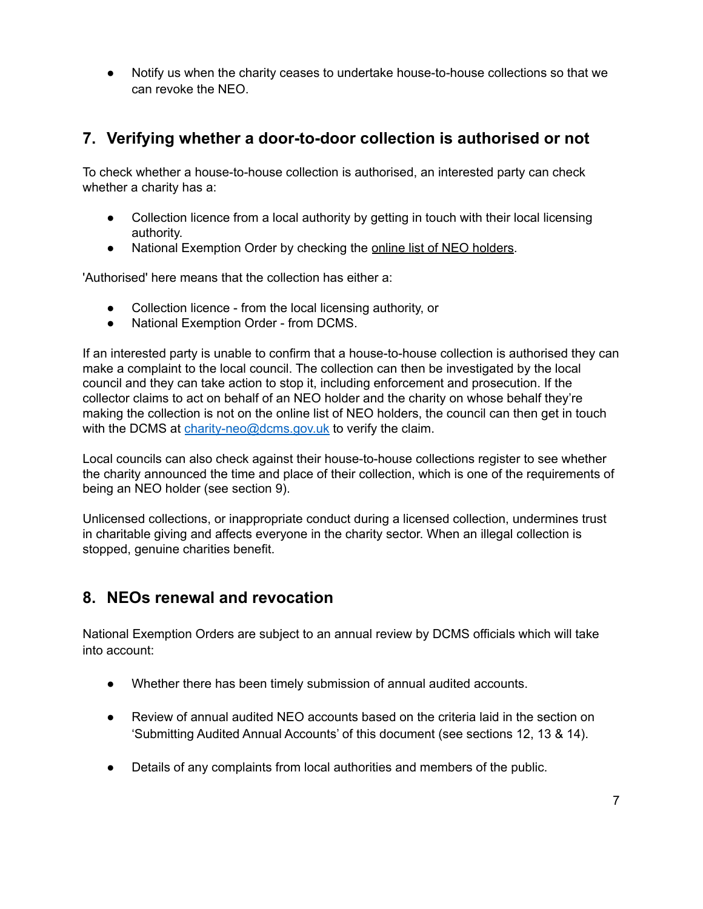Notify us when the charity ceases to undertake house-to-house collections so that we can revoke the NEO.

## <span id="page-7-0"></span>**7. Verifying whether a door-to-door collection is authorised or not**

To check whether a house-to-house collection is authorised, an interested party can check whether a charity has a:

- Collection licence from a local authority by getting in touch with their local licensing authority.
- National Exemption Order by checking the online list of NEO [holders.](https://www.gov.uk/government/publications/national-exemption-order-scheme)

'Authorised' here means that the collection has either a:

- Collection licence from the local licensing authority, or
- National Exemption Order from DCMS.

If an interested party is unable to confirm that a house-to-house collection is authorised they can make a complaint to the local council. The collection can then be investigated by the local council and they can take action to stop it, including [enforcement](http://www.charitybags.org.uk/charitable-collections-licensing-monitoring-and-enforcement.shtml) and prosecution. If the collector claims to act on behalf of an NEO holder and the charity on whose behalf they're making the collection is not on the online list of NEO holders, the council can then get in touch with the DCMS at [charity-neo@dcms.gov.uk](mailto:charity-neo@dcms.gov.uk) to verify the claim.

Local councils can also check against their house-to-house collections register to see whether the charity announced the time and place of their collection, which is one of the requirements of being an NEO holder (see section 9).

Unlicensed collections, or inappropriate conduct during a licensed collection, undermines trust in charitable giving and affects everyone in the charity sector. When an illegal collection is stopped, genuine charities benefit.

#### <span id="page-7-1"></span>**8. NEOs renewal and revocation**

National Exemption Orders are subject to an annual review by DCMS officials which will take into account:

- Whether there has been timely submission of annual audited accounts.
- Review of annual audited NEO accounts based on the criteria laid in the section on 'Submitting Audited Annual Accounts' of this document (see sections 12, 13 & 14).
- Details of any complaints from local authorities and members of the public.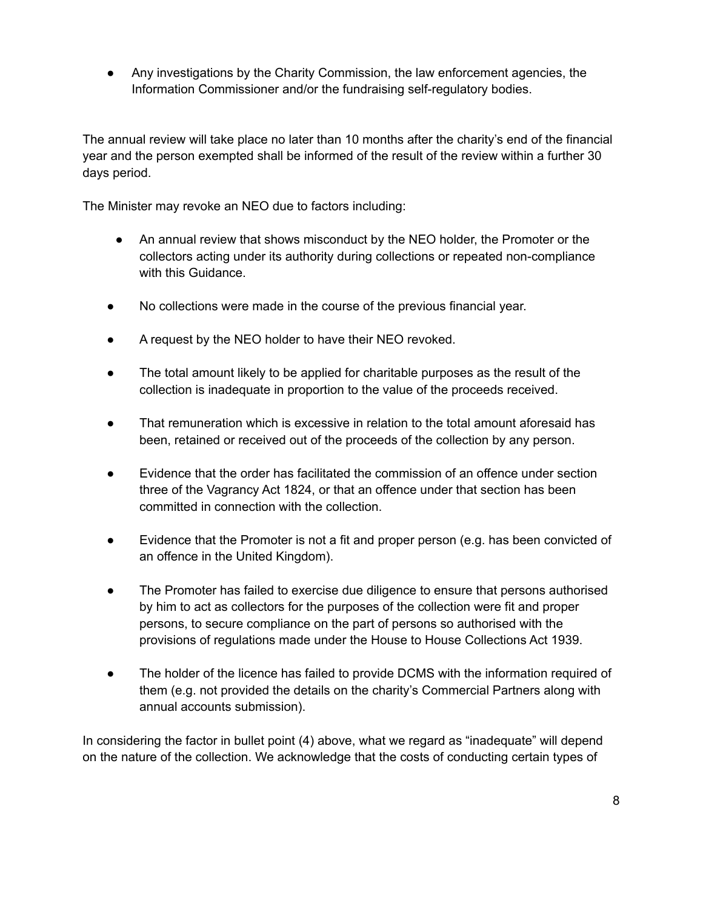Any investigations by the Charity Commission, the law enforcement agencies, the Information Commissioner and/or the fundraising self-regulatory bodies.

The annual review will take place no later than 10 months after the charity's end of the financial year and the person exempted shall be informed of the result of the review within a further 30 days period.

The Minister may revoke an NEO due to factors including:

- An annual review that shows misconduct by the NEO holder, the Promoter or the collectors acting under its authority during collections or repeated non-compliance with this Guidance.
- No collections were made in the course of the previous financial year.
- A request by the NEO holder to have their NEO revoked.
- The total amount likely to be applied for charitable purposes as the result of the collection is inadequate in proportion to the value of the proceeds received.
- That remuneration which is excessive in relation to the total amount aforesaid has been, retained or received out of the proceeds of the collection by any person.
- Evidence that the order has facilitated the commission of an offence under section three of the Vagrancy Act 1824, or that an offence under that section has been committed in connection with the collection.
- Evidence that the Promoter is not a fit and proper person (e.g. has been convicted of an offence in the United Kingdom).
- The Promoter has failed to exercise due diligence to ensure that persons authorised by him to act as collectors for the purposes of the collection were fit and proper persons, to secure compliance on the part of persons so authorised with the provisions of regulations made under the House to House Collections Act 1939.
- The holder of the licence has failed to provide DCMS with the information required of them (e.g. not provided the details on the charity's Commercial Partners along with annual accounts submission).

In considering the factor in bullet point (4) above, what we regard as "inadequate" will depend on the nature of the collection. We acknowledge that the costs of conducting certain types of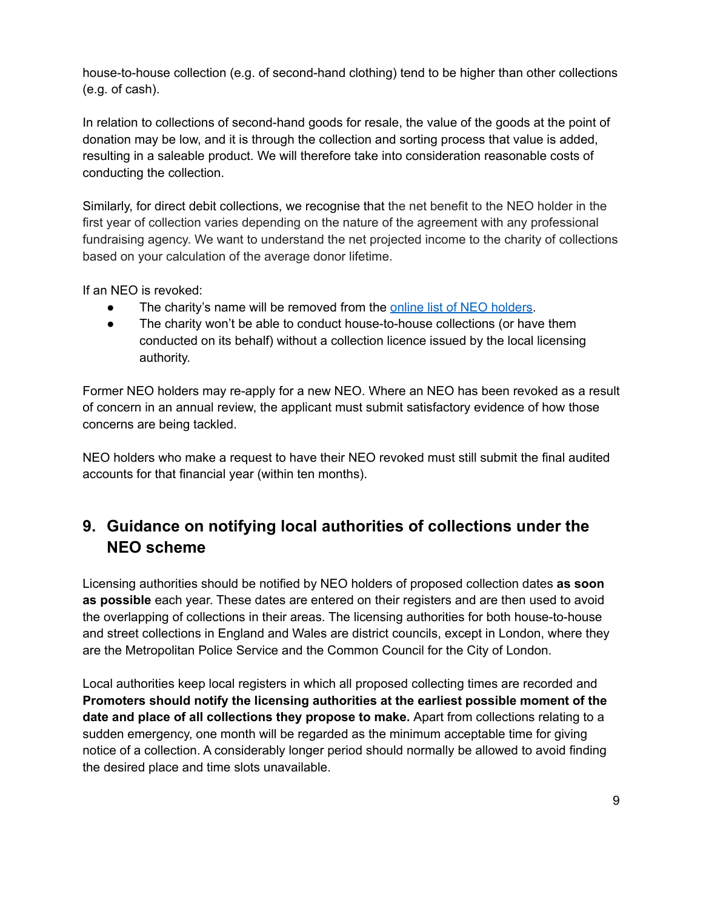house-to-house collection (e.g. of second-hand clothing) tend to be higher than other collections (e.g. of cash).

In relation to collections of second-hand goods for resale, the value of the goods at the point of donation may be low, and it is through the collection and sorting process that value is added, resulting in a saleable product. We will therefore take into consideration reasonable costs of conducting the collection.

Similarly, for direct debit collections, we recognise that the net benefit to the NEO holder in the first year of collection varies depending on the nature of the agreement with any professional fundraising agency. We want to understand the net projected income to the charity of collections based on your calculation of the average donor lifetime.

If an NEO is revoked:

- The charity's name will be removed from the online list of NEO [holders](https://www.gov.uk/government/publications/national-exemption-order-scheme).
- The charity won't be able to conduct house-to-house collections (or have them conducted on its behalf) without a collection licence issued by the local licensing authority.

Former NEO holders may re-apply for a new NEO. Where an NEO has been revoked as a result of concern in an annual review, the applicant must submit satisfactory evidence of how those concerns are being tackled.

NEO holders who make a request to have their NEO revoked must still submit the final audited accounts for that financial year (within ten months).

## <span id="page-9-0"></span>**9. Guidance on notifying local authorities of collections under the NEO scheme**

Licensing authorities should be notified by NEO holders of proposed collection dates **as soon as possible** each year. These dates are entered on their registers and are then used to avoid the overlapping of collections in their areas. The licensing authorities for both house-to-house and street collections in England and Wales are district councils, except in London, where they are the Metropolitan Police Service and the Common Council for the City of London.

Local authorities keep local registers in which all proposed collecting times are recorded and **Promoters should notify the licensing authorities at the earliest possible moment of the date and place of all collections they propose to make.** Apart from collections relating to a sudden emergency, one month will be regarded as the minimum acceptable time for giving notice of a collection. A considerably longer period should normally be allowed to avoid finding the desired place and time slots unavailable.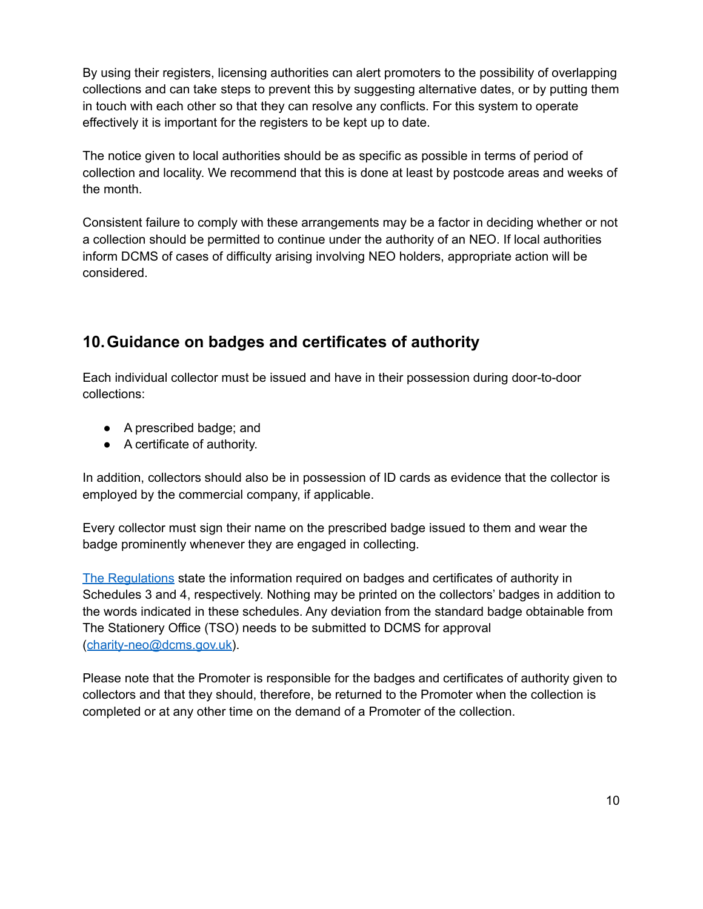By using their registers, licensing authorities can alert promoters to the possibility of overlapping collections and can take steps to prevent this by suggesting alternative dates, or by putting them in touch with each other so that they can resolve any conflicts. For this system to operate effectively it is important for the registers to be kept up to date.

The notice given to local authorities should be as specific as possible in terms of period of collection and locality. We recommend that this is done at least by postcode areas and weeks of the month.

Consistent failure to comply with these arrangements may be a factor in deciding whether or not a collection should be permitted to continue under the authority of an NEO. If local authorities inform DCMS of cases of difficulty arising involving NEO holders, appropriate action will be considered.

## <span id="page-10-0"></span>**10.Guidance on badges and certificates of authority**

Each individual collector must be issued and have in their possession during door-to-door collections:

- A prescribed badge; and
- A certificate of authority.

In addition, collectors should also be in possession of ID cards as evidence that the collector is employed by the commercial company, if applicable.

Every collector must sign their name on the prescribed badge issued to them and wear the badge prominently whenever they are engaged in collecting.

The [Regulations](https://www.legislation.gov.uk/uksro/1947/2662/pdfs/uksro_19472662_en.pdf) state the information required on badges and certificates of authority in Schedules 3 and 4, respectively. Nothing may be printed on the collectors' badges in addition to the words indicated in these schedules. Any deviation from the standard badge obtainable from The Stationery Office (TSO) needs to be submitted to DCMS for approval ([charity-neo@dcms.gov.uk](mailto:charity-neo@dcms.gov.uk)).

Please note that the Promoter is responsible for the badges and certificates of authority given to collectors and that they should, therefore, be returned to the Promoter when the collection is completed or at any other time on the demand of a Promoter of the collection.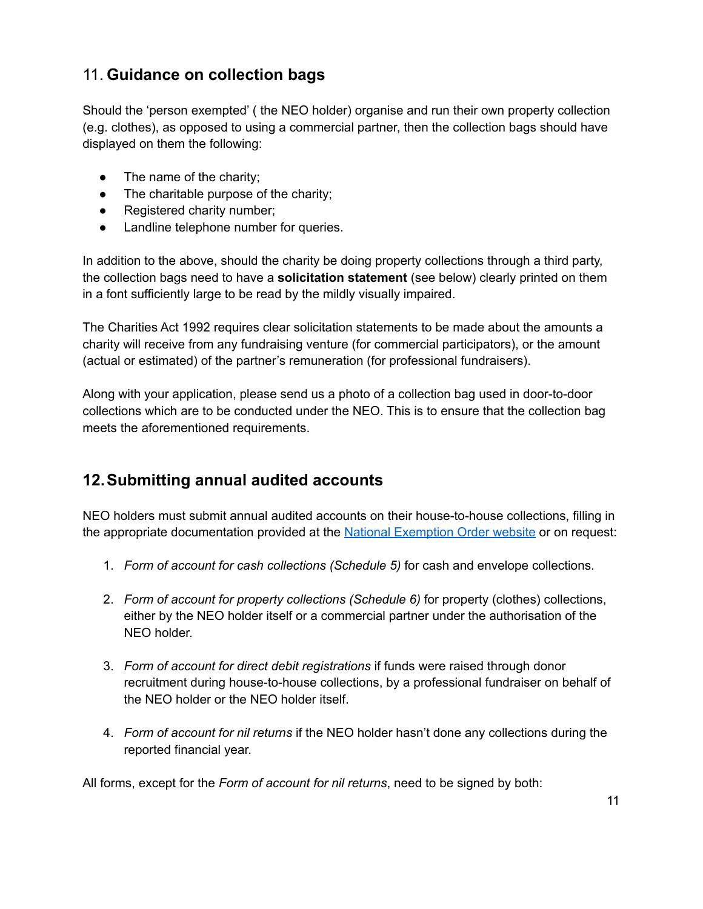## <span id="page-11-0"></span>11. **Guidance on collection bags**

Should the 'person exempted' ( the NEO holder) organise and run their own property collection (e.g. clothes), as opposed to using a commercial partner, then the collection bags should have displayed on them the following:

- $\bullet$  The name of the charity;
- The charitable purpose of the charity;
- Registered charity number;
- Landline telephone number for queries.

In addition to the above, should the charity be doing property collections through a third party, the collection bags need to have a **solicitation statement** (see below) clearly printed on them in a font sufficiently large to be read by the mildly visually impaired.

The Charities Act 1992 requires clear solicitation statements to be made about the amounts a charity will receive from any fundraising venture (for commercial participators), or the amount (actual or estimated) of the partner's remuneration (for professional fundraisers).

Along with your application, please send us a photo of a collection bag used in door-to-door collections which are to be conducted under the NEO. This is to ensure that the collection bag meets the aforementioned requirements.

### <span id="page-11-1"></span>**12.Submitting annual audited accounts**

NEO holders must submit annual audited accounts on their house-to-house collections, filling in the appropriate documentation provided at the National [Exemption](https://www.gov.uk/government/publications/national-exemption-order-scheme) Order website or on request:

- 1. *Form of account for cash collections (Schedule 5)* for cash and envelope collections.
- 2. *Form of account for property collections (Schedule 6)* for property (clothes) collections, either by the NEO holder itself or a commercial partner under the authorisation of the NEO holder.
- 3. *Form of account for direct debit registrations* if funds were raised through donor recruitment during house-to-house collections, by a professional fundraiser on behalf of the NEO holder or the NEO holder itself.
- 4. *Form of account for nil returns* if the NEO holder hasn't done any collections during the reported financial year.

All forms, except for the *Form of account for nil returns*, need to be signed by both: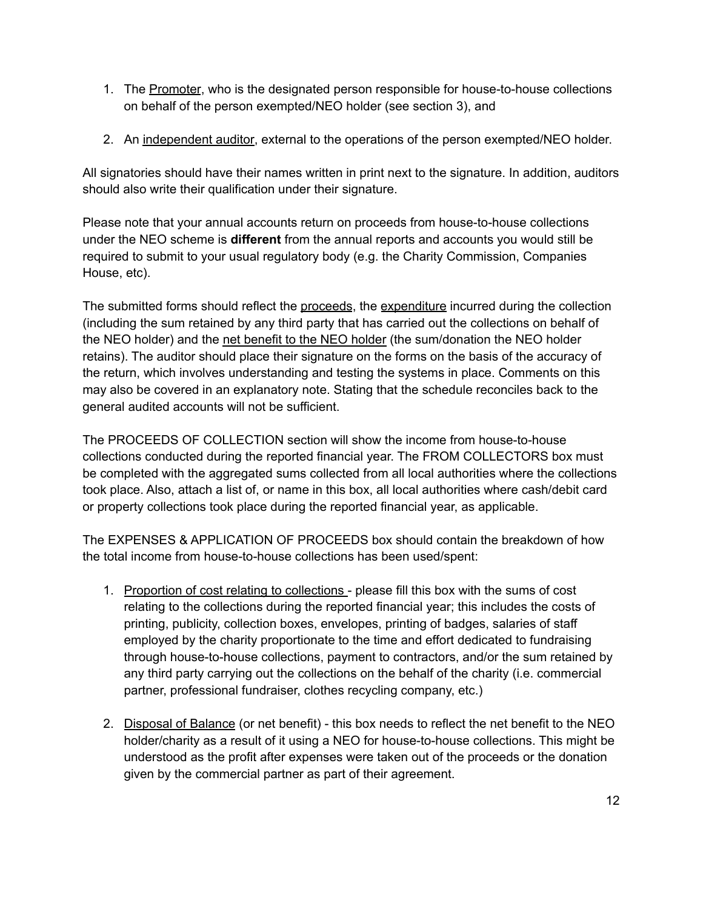- 1. The Promoter, who is the designated person responsible for house-to-house collections on behalf of the person exempted/NEO holder (see section 3), and
- 2. An independent auditor, external to the operations of the person exempted/NEO holder.

All signatories should have their names written in print next to the signature. In addition, auditors should also write their qualification under their signature.

Please note that your annual accounts return on proceeds from house-to-house collections under the NEO scheme is **different** from the annual reports and accounts you would still be required to submit to your usual regulatory body (e.g. the Charity Commission, Companies House, etc).

The submitted forms should reflect the proceeds, the expenditure incurred during the collection (including the sum retained by any third party that has carried out the collections on behalf of the NEO holder) and the net benefit to the NEO holder (the sum/donation the NEO holder retains). The auditor should place their signature on the forms on the basis of the accuracy of the return, which involves understanding and testing the systems in place. Comments on this may also be covered in an explanatory note. Stating that the schedule reconciles back to the general audited accounts will not be sufficient.

The PROCEEDS OF COLLECTION section will show the income from house-to-house collections conducted during the reported financial year. The FROM COLLECTORS box must be completed with the aggregated sums collected from all local authorities where the collections took place. Also, attach a list of, or name in this box, all local authorities where cash/debit card or property collections took place during the reported financial year, as applicable.

The EXPENSES & APPLICATION OF PROCEEDS box should contain the breakdown of how the total income from house-to-house collections has been used/spent:

- 1. Proportion of cost relating to collections please fill this box with the sums of cost relating to the collections during the reported financial year; this includes the costs of printing, publicity, collection boxes, envelopes, printing of badges, salaries of staff employed by the charity proportionate to the time and effort dedicated to fundraising through house-to-house collections, payment to contractors, and/or the sum retained by any third party carrying out the collections on the behalf of the charity (i.e. commercial partner, professional fundraiser, clothes recycling company, etc.)
- 2. Disposal of Balance (or net benefit) this box needs to reflect the net benefit to the NEO holder/charity as a result of it using a NEO for house-to-house collections. This might be understood as the profit after expenses were taken out of the proceeds or the donation given by the commercial partner as part of their agreement.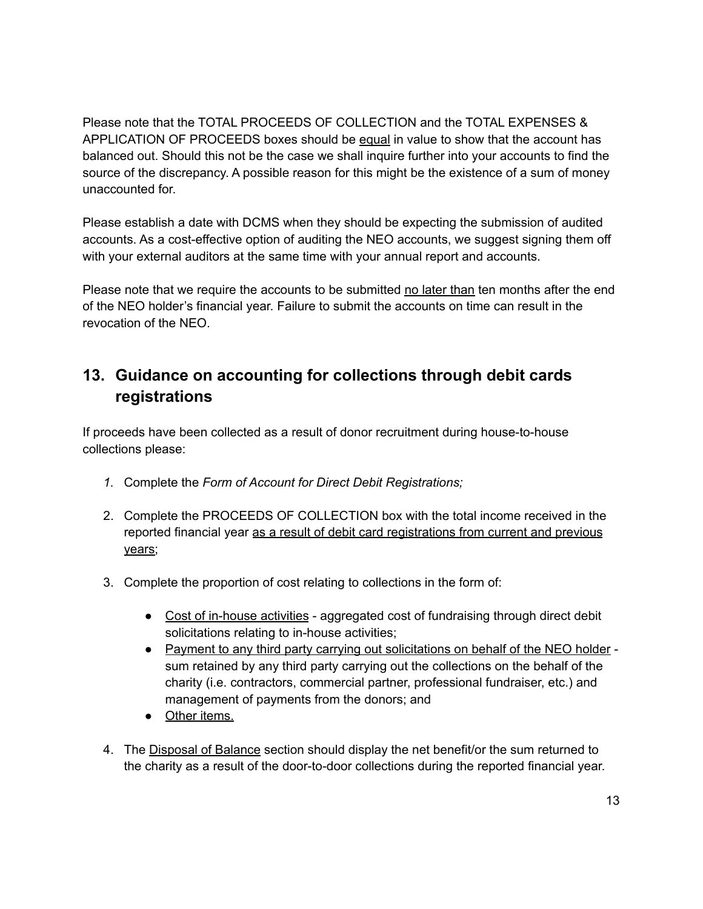Please note that the TOTAL PROCEEDS OF COLLECTION and the TOTAL EXPENSES & APPLICATION OF PROCEEDS boxes should be equal in value to show that the account has balanced out. Should this not be the case we shall inquire further into your accounts to find the source of the discrepancy. A possible reason for this might be the existence of a sum of money unaccounted for.

Please establish a date with DCMS when they should be expecting the submission of audited accounts. As a cost-effective option of auditing the NEO accounts, we suggest signing them off with your external auditors at the same time with your annual report and accounts.

Please note that we require the accounts to be submitted no later than ten months after the end of the NEO holder's financial year. Failure to submit the accounts on time can result in the revocation of the NEO.

## <span id="page-13-0"></span>**13. Guidance on accounting for collections through debit cards registrations**

If proceeds have been collected as a result of donor recruitment during house-to-house collections please:

- *1.* Complete the *Form of Account for Direct Debit Registrations;*
- 2. Complete the PROCEEDS OF COLLECTION box with the total income received in the reported financial year as a result of debit card registrations from current and previous years;
- 3. Complete the proportion of cost relating to collections in the form of:
	- Cost of in-house activities aggregated cost of fundraising through direct debit solicitations relating to in-house activities;
	- Payment to any third party carrying out solicitations on behalf of the NEO holder sum retained by any third party carrying out the collections on the behalf of the charity (i.e. contractors, commercial partner, professional fundraiser, etc.) and management of payments from the donors; and
	- Other items.
- 4. The Disposal of Balance section should display the net benefit/or the sum returned to the charity as a result of the door-to-door collections during the reported financial year.